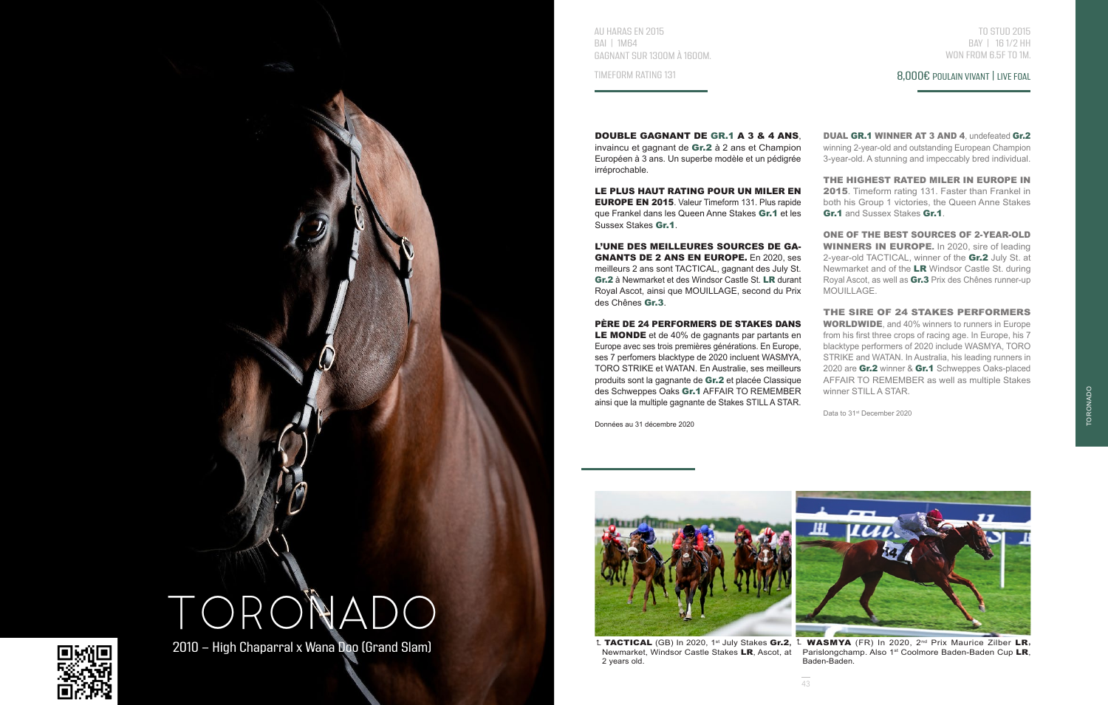

AU HARAS EN 2015 BAI | 1M64 GAGNANT SUR 1300M À 1600M.

TIMEFORM RATING 131

TO STUD 2015 BAY | 16 1/2 HH WON FROM 6.5F TO 1M.

## 8,000€ POULAIN VIVANT | LIVE FOAL

DOUBLE GAGNANT DE GR.1 A 3 & 4 ANS, invaincu et gagnant de Gr.2 à 2 ans et Champion Européen à 3 ans. Un superbe modèle et un pédigrée irréprochable.

LE PLUS HAUT RATING POUR UN MILER EN EUROPE EN 2015. Valeur Timeform 131. Plus rapide que Frankel dans les Queen Anne Stakes Gr.1 et les Sussex Stakes Gr.1.

L'UNE DES MEILLEURES SOURCES DE GA-GNANTS DE 2 ANS EN EUROPE. En 2020, ses meilleurs 2 ans sont TACTICAL, gagnant des July St. Gr.2 à Newmarket et des Windsor Castle St. LR durant Royal Ascot, ainsi que MOUILLAGE, second du Prix des Chênes Gr.3.

PÈRE DE 24 PERFORMERS DE STAKES DANS

LE MONDE et de 40% de gagnants par partants en Europe avec ses trois premières générations. En Europe, ses 7 perfomers blacktype de 2020 incluent WASMYA, TORO STRIKE et WATAN. En Australie, ses meilleurs produits sont la gagnante de Gr.2 et placée Classique des Schweppes Oaks Gr.1 AFFAIR TO REMEMBER ainsi que la multiple gagnante de Stakes STILL A STAR.

Données au 31 décembre 2020

DUAL GR.1 WINNER AT 3 AND 4, undefeated Gr.2 winning 2-year-old and outstanding European Champion 3-year-old. A stunning and impeccably bred individual.

THE HIGHEST RATED MILER IN EUROPE IN 2015. Timeform rating 131. Faster than Frankel in both his Group 1 victories, the Queen Anne Stakes Gr.1 and Sussex Stakes Gr.1

ONE OF THE BEST SOURCES OF 2-YEAR-OLD WINNERS IN EUROPE. In 2020, sire of leading 2-year-old TACTICAL, winner of the Gr.2 July St. at Newmarket and of the LR Windsor Castle St. during Royal Ascot, as well as Gr.3 Prix des Chênes runner-up MOUILLAGE.

THE SIRE OF 24 STAKES PERFORMERS WORLDWIDE, and 40% winners to runners in Europe from his first three crops of racing age. In Europe, his 7 blacktype performers of 2020 include WASMYA, TORO STRIKE and WATAN. In Australia, his leading runners in 2020 are Gr.2 winner & Gr.1 Schweppes Oaks-placed AFFAIR TO REMEMBER as well as multiple Stakes winner STILL A STAR.

Data to 31<sup>st</sup> December 2020



2 years old.



t TACTICAL (GB) In 2020, 1<sup>st</sup> July Stakes Gr.2, <sup>t</sup> WASMYA (FR) In 2020, 2<sup>nd</sup> Prix Maurice Zilber LR, Newmarket, Windsor Castle Stakes LR, Ascot, at Parislongchamp. Also 1st Coolmore Baden-Baden Cup LR, Baden-Baden.